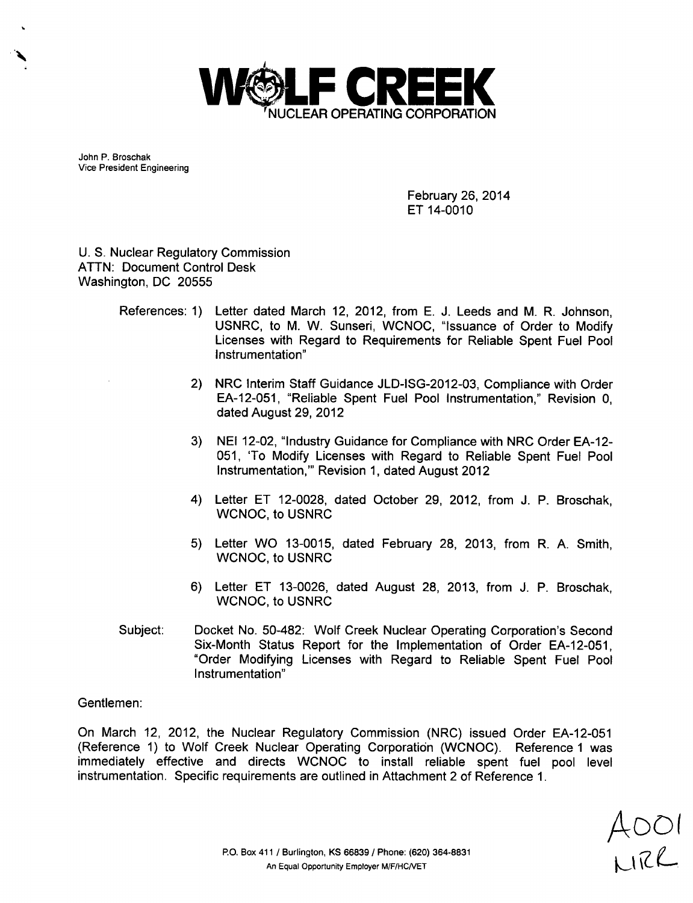

John P. Broschak Vice President Engineering

> February 26, 2014 ET 14-0010

U. S. Nuclear Regulatory Commission ATTN: Document Control Desk Washington, DC 20555

- References: 1) Letter dated March 12, 2012, from E. J. Leeds and M. R. Johnson, USNRC, to M. W. Sunseri, WCNOC, "Issuance of Order to Modify Licenses with Regard to Requirements for Reliable Spent Fuel Pool Instrumentation"
	- 2) NRC Interim Staff Guidance JLD-ISG-2012-03, Compliance with Order EA-12-051, "Reliable Spent Fuel Pool Instrumentation," Revision 0, dated August 29, 2012
	- 3) NEI 12-02, "Industry Guidance for Compliance with NRC Order EA-12- 051, 'To Modify Licenses with Regard to Reliable Spent Fuel Pool Instrumentation,"' Revision 1, dated August 2012
	- 4) Letter ET 12-0028, dated October 29, 2012, from J. P. Broschak, WCNOC, to USNRC
	- 5) Letter WO 13-0015, dated February 28, 2013, from R. A. Smith, WCNOC, to USNRC
	- 6) Letter ET 13-0026, dated August 28, 2013, from J. P. Broschak, WCNOC, to USNRC
- Subject: Docket No. 50-482: Wolf Creek Nuclear Operating Corporation's Second Six-Month Status Report for the Implementation of Order EA-12-051, "Order Modifying Licenses with Regard to Reliable Spent Fuel Pool Instrumentation"

Gentlemen:

On March 12, 2012, the Nuclear Regulatory Commission (NRC) issued Order EA-12-051 (Reference 1) to Wolf Creek Nuclear Operating Corporation (WCNOC). Reference 1 was immediately effective and directs WCNOC to install reliable spent fuel pool level instrumentation. Specific requirements are outlined in Attachment 2 of Reference 1.

 $AOOI$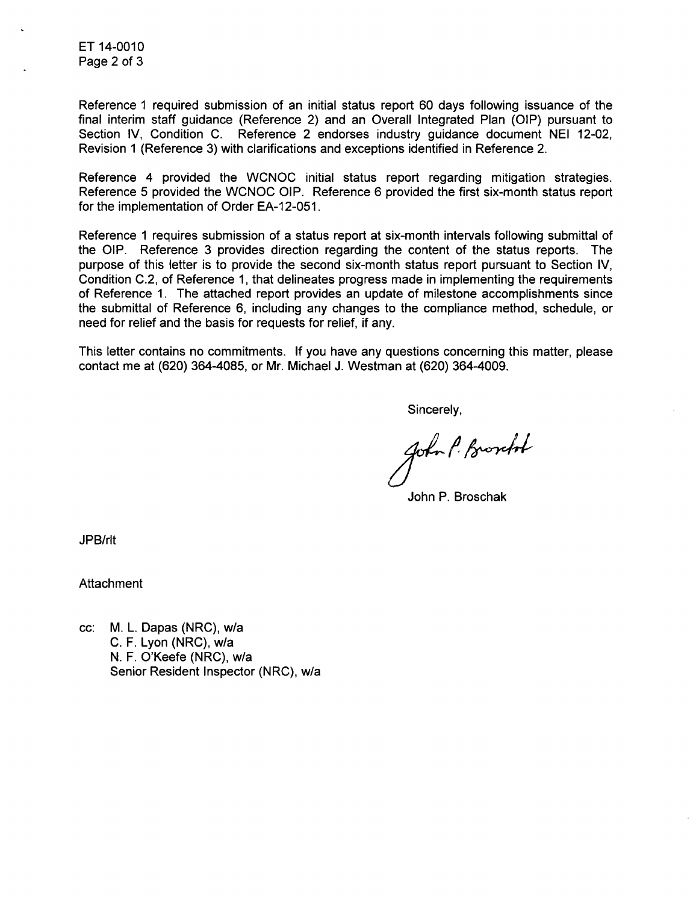ET 14-0010 Page 2 of 3

Reference 1 required submission of an initial status report 60 days following issuance of the final interim staff guidance (Reference 2) and an Overall Integrated Plan (OIP) pursuant to Section IV, Condition C. Reference 2 endorses industry guidance document NEI 12-02, Revision 1 (Reference 3) with clarifications and exceptions identified in Reference 2.

Reference 4 provided the WCNOC initial status report regarding mitigation strategies. Reference 5 provided the WCNOC OIP. Reference 6 provided the first six-month status report for the implementation of Order EA-12-051.

Reference 1 requires submission of a status report at six-month intervals following submittal of the OIP. Reference 3 provides direction regarding the content of the status reports. The purpose of this letter is to provide the second six-month status report pursuant to Section IV, Condition C.2, of Reference 1, that delineates progress made in implementing the requirements of Reference 1. The attached report provides an update of milestone accomplishments since the submittal of Reference 6, including any changes to the compliance method, schedule, or need for relief and the basis for requests for relief, if any.

This letter contains no commitments. If you have any questions concerning this matter, please contact me at (620) 364-4085, or Mr. Michael J. Westman at (620) 364-4009.

Sincerely,

John P. Broocht

John P. Broschak

JPB/rlt

**Attachment** 

cc: M. L. Dapas (NRC), w/a C. F. Lyon (NRC), w/a N. F. O'Keefe (NRC), w/a Senior Resident Inspector (NRC), w/a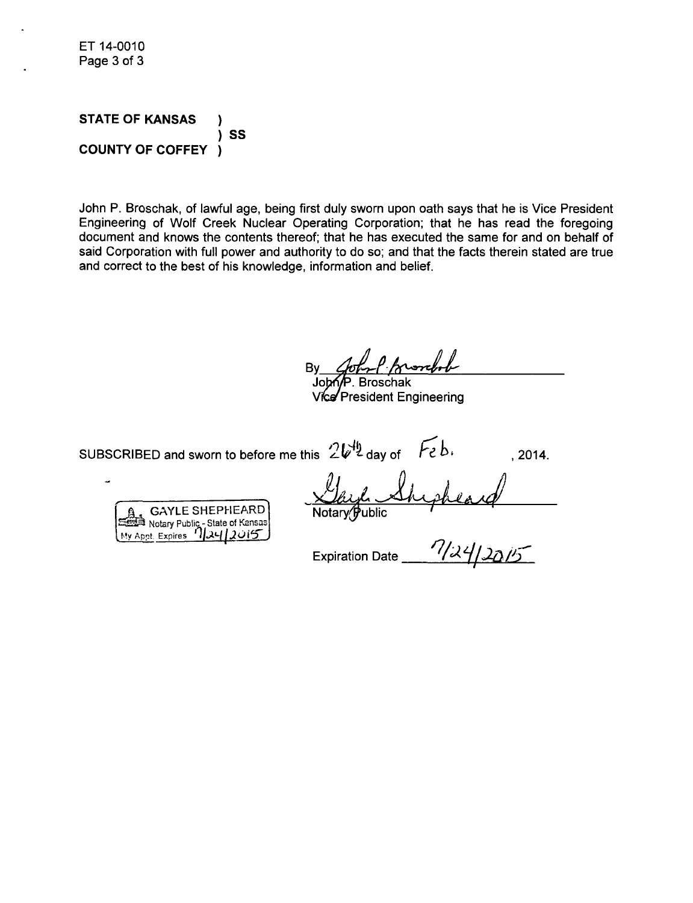ET 14-0010 Page 3 of 3

**STATE** OF **KANSAS COUNTY** OF COFFEY )<br>)SS )

John P. Broschak, of lawful age, being first duly sworn upon oath says that he is Vice President Engineering of Wolf Creek Nuclear Operating Corporation; that he has read the foregoing document and knows the contents thereof; that he has executed the same for and on behalf of said Corporation with full power and authority to do so; and that the facts therein stated are true and correct to the best of his knowledge, information and belief.

**Jo .** Broschak

Vice President Engineering

sUBSCRIBED and sworn to before me this  $2V^{\frac{1}{2}}$  day of  $\overline{Feb}$ ,  $\overline{b}$ , 2014.

GAYLE SHEPHEARD Z Notary Public - State of Kansas **My Appt. Expires 11241** 

Notary Public

 $\frac{1}{\text{Notary (Public)}}$ <br>Expiration Date  $\frac{7}{20}\frac{7}{20}$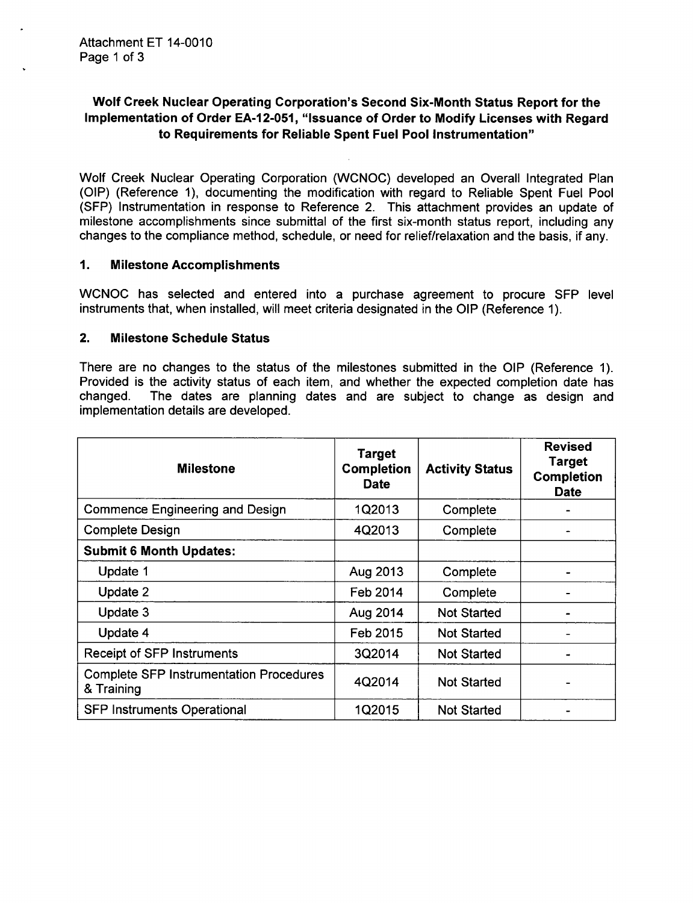# Wolf Creek Nuclear Operating Corporation's Second Six-Month Status Report for the Implementation of Order **EA-12-051,** "Issuance of Order to Modify Licenses with Regard to Requirements for Reliable Spent Fuel Pool Instrumentation"

Wolf Creek Nuclear Operating Corporation (WCNOC) developed an Overall Integrated Plan (OIP) (Reference 1), documenting the modification with regard to Reliable Spent Fuel Pool (SFP) Instrumentation in response to Reference 2. This attachment provides an update of milestone accomplishments since submittal of the first six-month status report, including any changes to the compliance method, schedule, or need for relief/relaxation and the basis, if any.

# **1.** Milestone Accomplishments

WCNOC has selected and entered into a purchase agreement to procure SFP level instruments that, when installed, will meet criteria designated in the OIP (Reference 1).

### 2. Milestone Schedule Status

There are no changes to the status of the milestones submitted in the OIP (Reference 1). Provided is the activity status of each item, and whether the expected completion date has changed. The dates are planning dates and are subject to change as design and implementation details are developed.

| <b>Milestone</b>                                             | <b>Target</b><br><b>Completion</b><br><b>Date</b> | <b>Activity Status</b> | Revised<br><b>Target</b><br><b>Completion</b><br><b>Date</b> |
|--------------------------------------------------------------|---------------------------------------------------|------------------------|--------------------------------------------------------------|
| <b>Commence Engineering and Design</b>                       | 1Q2013                                            | Complete               |                                                              |
| <b>Complete Design</b>                                       | 4Q2013                                            | Complete               |                                                              |
| <b>Submit 6 Month Updates:</b>                               |                                                   |                        |                                                              |
| Update 1                                                     | Aug 2013                                          | Complete               |                                                              |
| Update 2                                                     | Feb 2014                                          | Complete               |                                                              |
| Update 3                                                     | Aug 2014                                          | <b>Not Started</b>     |                                                              |
| Update 4                                                     | Feb 2015                                          | <b>Not Started</b>     |                                                              |
| <b>Receipt of SFP Instruments</b>                            | 3Q2014                                            | <b>Not Started</b>     |                                                              |
| <b>Complete SFP Instrumentation Procedures</b><br>& Training | 4Q2014                                            | <b>Not Started</b>     |                                                              |
| <b>SFP Instruments Operational</b>                           | 1Q2015                                            | <b>Not Started</b>     |                                                              |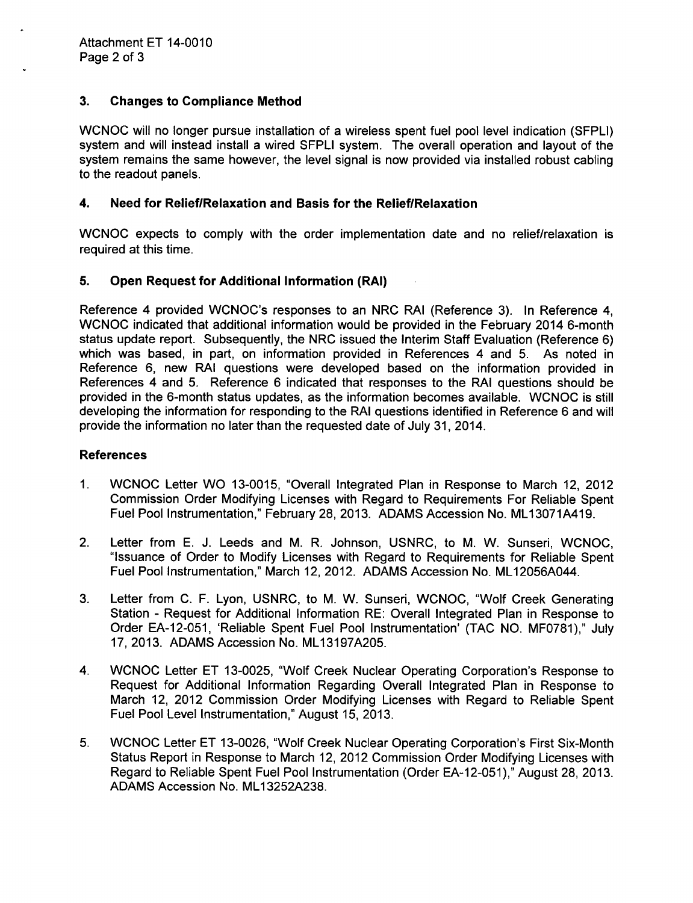# 3. Changes to Compliance Method

WCNOC will no longer pursue installation of a wireless spent fuel pool level indication (SFPLI) system and will instead install a wired SFPLI system. The overall operation and layout of the system remains the same however, the level signal is now provided via installed robust cabling to the readout panels.

# 4. Need for RelieflRelaxation and Basis for the Relief/Relaxation

**WCNOC** expects to comply with the order implementation date and no relief/relaxation is required at this time.

# 5. Open Request for Additional Information (RAI)

Reference 4 provided WCNOC's responses to an NRC RAI (Reference 3). In Reference 4, WCNOC indicated that additional information would be provided in the February 2014 6-month status update report. Subsequently, the NRC issued the Interim Staff Evaluation (Reference 6) which was based, in part, on information provided in References 4 and 5. As noted in Reference 6, new RAI questions were developed based on the information provided in References 4 and 5. Reference 6 indicated that responses to the RAI questions should be provided in the 6-month status updates, as the information becomes available. WCNOC is still developing the information for responding to the RAI questions identified in Reference 6 and will provide the information no later than the requested date of July 31, 2014.

### References

- 1. WCNOC Letter WO 13-0015, "Overall Integrated Plan in Response to March 12, 2012 Commission Order Modifying Licenses with Regard to Requirements For Reliable Spent Fuel Pool Instrumentation," February 28, 2013. ADAMS Accession No. ML13071A419.
- 2. Letter from E. J. Leeds and M. R. Johnson, USNRC, to M. W. Sunseri, WCNOC, "Issuance of Order to Modify Licenses with Regard to Requirements for Reliable Spent Fuel Pool Instrumentation," March 12, 2012. ADAMS Accession No. ML12056A044.
- 3. Letter from C. F. Lyon, USNRC, to M. W. Sunseri, WCNOC, "Wolf Creek Generating Station - Request for Additional Information RE: Overall Integrated Plan in Response to Order EA-12-051, 'Reliable Spent Fuel Pool Instrumentation' (TAC NO. MF0781)," July 17, 2013. ADAMS Accession No. ML13197A205.
- 4. WCNOC Letter ET 13-0025, "Wolf Creek Nuclear Operating Corporation's Response to Request for Additional Information Regarding Overall Integrated Plan in Response to March 12, 2012 Commission Order Modifying Licenses with Regard to Reliable Spent Fuel Pool Level Instrumentation," August 15, 2013.
- 5. WCNOC Letter ET 13-0026, "Wolf Creek Nuclear Operating Corporation's First Six-Month Status Report in Response to March 12, 2012 Commission Order Modifying Licenses with Regard to Reliable Spent Fuel Pool Instrumentation (Order EA-12-051)," August 28, 2013. ADAMS Accession No. ML13252A238.